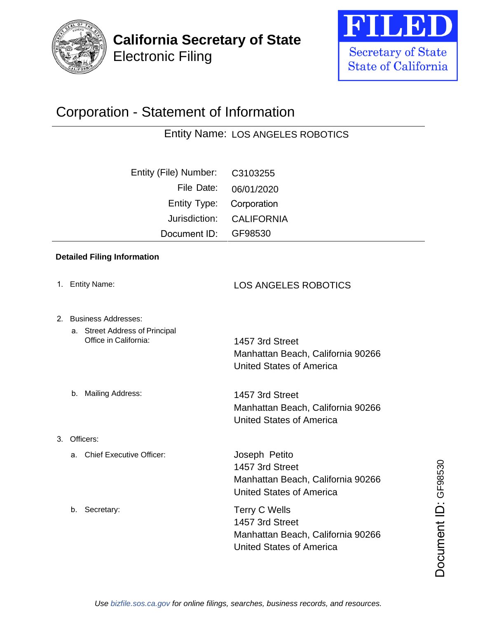





## Corporation - Statement of Information

Entity Name: LOS ANGELES ROBOTICS

| Entity (File) Number: | C3103255          |
|-----------------------|-------------------|
| File Date:            | 06/01/2020        |
| Entity Type:          | Corporation       |
| Jurisdiction:         | <b>CALIFORNIA</b> |
| Document ID:          | GF98530           |
|                       |                   |

## **Detailed Filing Information**

- 1. Entity Name:
- 2. Business Addresses:

b. Mailing Address:

3. Officers:

b. Secretary:

a. Street Address of Principal Office in California:

1457 3rd Street Manhattan Beach, California 90266 United States of America

LOS ANGELES ROBOTICS

1457 3rd Street Manhattan Beach, California 90266 United States of America

a. Chief Executive Officer: Joseph Petito 1457 3rd Street Manhattan Beach, California 90266 United States of America

Terry C Wells 1457 3rd Street Manhattan Beach, California 90266 1457 3rd Street<br>
Manhattan Beach, California 90266<br>
United States of America<br>
Terry C Wells<br>
1457 3rd Street<br>
Manhattan Beach, California 90266<br>
United States of America